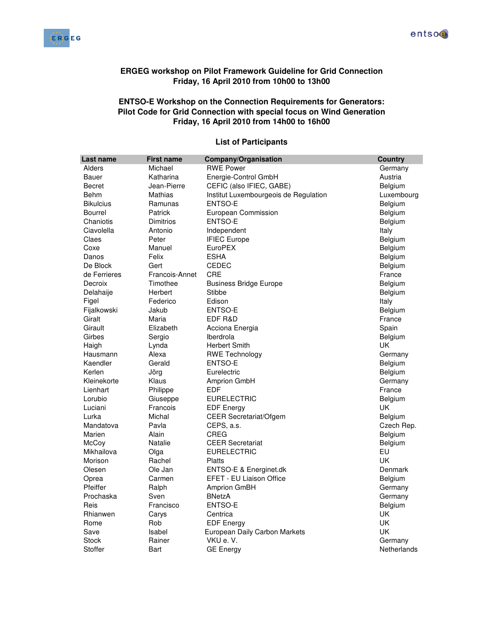



## **ERGEG workshop on Pilot Framework Guideline for Grid Connection Friday, 16 April 2010 from 10h00 to 13h00**

## **ENTSO-E Workshop on the Connection Requirements for Generators: Pilot Code for Grid Connection with special focus on Wind Generation Friday, 16 April 2010 from 14h00 to 16h00**

| Last name        | <b>First name</b> | <b>Company/Organisation</b>           | <b>Country</b> |
|------------------|-------------------|---------------------------------------|----------------|
| Alders           | Michael           | <b>RWE Power</b>                      | Germany        |
| Bauer            | Katharina         | Energie-Control GmbH                  | Austria        |
| <b>Becret</b>    | Jean-Pierre       | CEFIC (also IFIEC, GABE)              | Belgium        |
| Behm             | Mathias           | Institut Luxembourgeois de Regulation | Luxembourg     |
| <b>Bikulcius</b> | Ramunas           | <b>ENTSO-E</b>                        | Belgium        |
| <b>Bourrel</b>   | Patrick           | European Commission                   | Belgium        |
| Chaniotis        | Dimitrios         | ENTSO-E                               | Belgium        |
| Ciavolella       | Antonio           | Independent                           | Italy          |
| Claes            | Peter             | <b>IFIEC Europe</b>                   | Belgium        |
| Coxe             | Manuel            | <b>EuroPEX</b>                        | Belgium        |
| Danos            | Felix             | <b>ESHA</b>                           | Belgium        |
| De Block         | Gert              | CEDEC                                 | Belgium        |
| de Ferrieres     | Francois-Annet    | <b>CRE</b>                            | France         |
| Decroix          | Timothee          | <b>Business Bridge Europe</b>         | Belgium        |
| Delahaije        | Herbert           | Stibbe                                | Belgium        |
| Figel            | Federico          | Edison                                | Italy          |
| Fijalkowski      | Jakub             | ENTSO-E                               | Belgium        |
| Giralt           | Maria             | EDF R&D                               | France         |
| Girault          | Elizabeth         | Acciona Energia                       | Spain          |
| Girbes           | Sergio            | Iberdrola                             | Belgium        |
| Haigh            | Lynda             | <b>Herbert Smith</b>                  | <b>UK</b>      |
| Hausmann         | Alexa             | <b>RWE Technology</b>                 | Germany        |
| Kaendler         | Gerald            | <b>ENTSO-E</b>                        | Belgium        |
| Kerlen           | Jörg              | Eurelectric                           | Belgium        |
| Kleinekorte      | Klaus             | <b>Amprion GmbH</b>                   | Germany        |
| Lienhart         | Philippe          | <b>EDF</b>                            | France         |
| Lorubio          | Giuseppe          | <b>EURELECTRIC</b>                    | Belgium        |
| Luciani          | Francois          | <b>EDF Energy</b>                     | <b>UK</b>      |
| Lurka            | Michal            | <b>CEER Secretariat/Ofgem</b>         | Belgium        |
| Mandatova        | Pavla             | CEPS, a.s.                            | Czech Rep.     |
| Marien           | Alain             | CREG                                  | Belgium        |
| <b>McCov</b>     | Natalie           | <b>CEER Secretariat</b>               | Belgium        |
| Mikhailova       | Olga              | <b>EURELECTRIC</b>                    | EU             |
| Morison          | Rachel            | Platts                                | UK             |
| Olesen           | Ole Jan           | ENTSO-E & Energinet.dk                | Denmark        |
| Oprea            | Carmen            | <b>EFET - EU Liaison Office</b>       | Belgium        |
| Pfeiffer         | Ralph             | Amprion GmBH                          | Germany        |
| Prochaska        | Sven              | <b>BNetzA</b>                         | Germany        |
| Reis             | Francisco         | <b>ENTSO-E</b>                        | Belgium        |
| Rhianwen         | Carys             | Centrica                              | UK             |
| Rome             | Rob               | <b>EDF Energy</b>                     | UK             |
| Save             | Isabel            | European Daily Carbon Markets         | UK             |
| Stock            | Rainer            | VKU e.V.                              | Germany        |
| Stoffer          | Bart              | <b>GE Energy</b>                      | Netherlands    |

## **List of Participants**